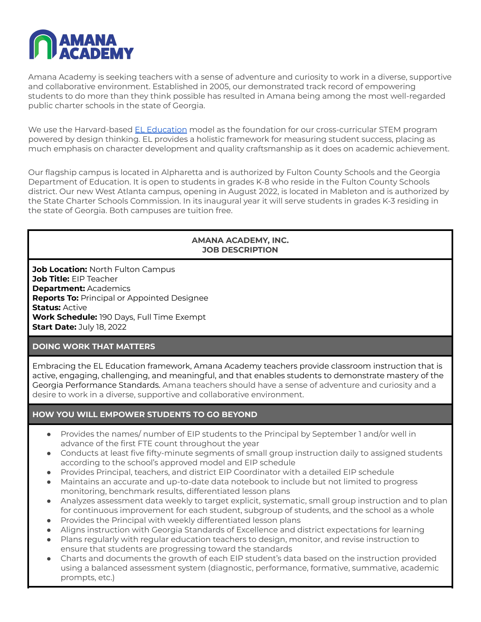

Amana Academy is seeking teachers with a sense of adventure and curiosity to work in a diverse, supportive and collaborative environment. Established in 2005, our demonstrated track record of empowering students to do more than they think possible has resulted in Amana being among the most well-regarded public charter schools in the state of Georgia.

We use the Harvard-based EL [Education](https://eleducation.org/) model as the foundation for our cross-curricular STEM program powered by design thinking. EL provides a holistic framework for measuring student success, placing as much emphasis on character development and quality craftsmanship as it does on academic achievement.

Our flagship campus is located in Alpharetta and is authorized by Fulton County Schools and the Georgia Department of Education. It is open to students in grades K-8 who reside in the Fulton County Schools district. Our new West Atlanta campus, opening in August 2022, is located in Mableton and is authorized by the State Charter Schools Commission. In its inaugural year it will serve students in grades K-3 residing in the state of Georgia. Both campuses are tuition free.

#### **AMANA ACADEMY, INC. JOB DESCRIPTION**

**Job Location:** North Fulton Campus **Job Title:** EIP Teacher **Department:** Academics **Reports To:** Principal or Appointed Designee **Status:** Active **Work Schedule:** 190 Days, Full Time Exempt **Start Date:** July 18, 2022

## **DOING WORK THAT MATTERS**

Embracing the EL Education framework, Amana Academy teachers provide classroom instruction that is active, engaging, challenging, and meaningful, and that enables students to demonstrate mastery of the Georgia Performance Standards. Amana teachers should have a sense of adventure and curiosity and a desire to work in a diverse, supportive and collaborative environment.

# **HOW YOU WILL EMPOWER STUDENTS TO GO BEYOND**

- Provides the names/ number of EIP students to the Principal by September 1 and/or well in advance of the first FTE count throughout the year
- Conducts at least five fifty-minute segments of small group instruction daily to assigned students according to the school's approved model and EIP schedule
- Provides Principal, teachers, and district EIP Coordinator with a detailed EIP schedule
- Maintains an accurate and up-to-date data notebook to include but not limited to progress monitoring, benchmark results, differentiated lesson plans
- Analyzes assessment data weekly to target explicit, systematic, small group instruction and to plan for continuous improvement for each student, subgroup of students, and the school as a whole
- Provides the Principal with weekly differentiated lesson plans
- Aligns instruction with Georgia Standards of Excellence and district expectations for learning
- Plans regularly with regular education teachers to design, monitor, and revise instruction to ensure that students are progressing toward the standards
- Charts and documents the growth of each EIP student's data based on the instruction provided using a balanced assessment system (diagnostic, performance, formative, summative, academic prompts, etc.)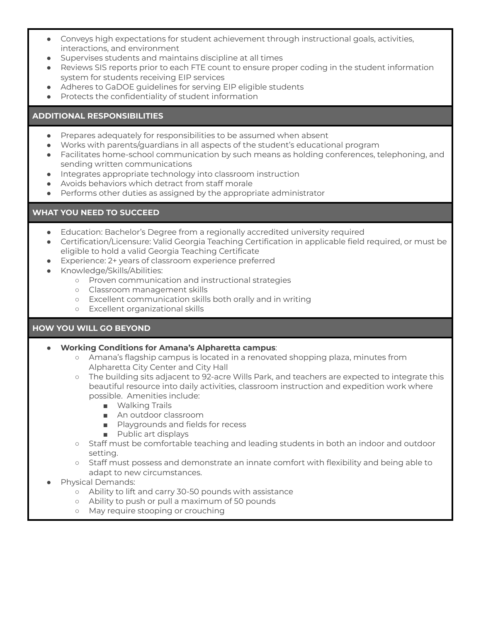- Conveys high expectations for student achievement through instructional goals, activities, interactions, and environment
- Supervises students and maintains discipline at all times
- Reviews SIS reports prior to each FTE count to ensure proper coding in the student information system for students receiving EIP services
- Adheres to GaDOE guidelines for serving EIP eligible students
- Protects the confidentiality of student information

## **ADDITIONAL RESPONSIBILITIES**

- Prepares adequately for responsibilities to be assumed when absent
- Works with parents/guardians in all aspects of the student's educational program
- Facilitates home-school communication by such means as holding conferences, telephoning, and sending written communications
- Integrates appropriate technology into classroom instruction
- Avoids behaviors which detract from staff morale
- Performs other duties as assigned by the appropriate administrator

## **WHAT YOU NEED TO SUCCEED**

- Education: Bachelor's Degree from a regionally accredited university required
- Certification/Licensure: Valid Georgia Teaching Certification in applicable field required, or must be eligible to hold a valid Georgia Teaching Certificate
- Experience: 2+ years of classroom experience preferred
- Knowledge/Skills/Abilities:
	- Proven communication and instructional strategies
	- Classroom management skills
	- Excellent communication skills both orally and in writing
	- Excellent organizational skills

## **HOW YOU WILL GO BEYOND**

## ● **Working Conditions for Amana's Alpharetta campus**:

- Amana's flagship campus is located in a renovated shopping plaza, minutes from Alpharetta City Center and City Hall
- The building sits adjacent to 92-acre Wills Park, and teachers are expected to integrate this beautiful resource into daily activities, classroom instruction and expedition work where possible. Amenities include:
	- Walking Trails
	- An outdoor classroom
	- Playgrounds and fields for recess
	- Public art displays
- Staff must be comfortable teaching and leading students in both an indoor and outdoor setting.
- Staff must possess and demonstrate an innate comfort with flexibility and being able to adapt to new circumstances.
- Physical Demands:
	- Ability to lift and carry 30-50 pounds with assistance
	- Ability to push or pull a maximum of 50 pounds
	- May require stooping or crouching